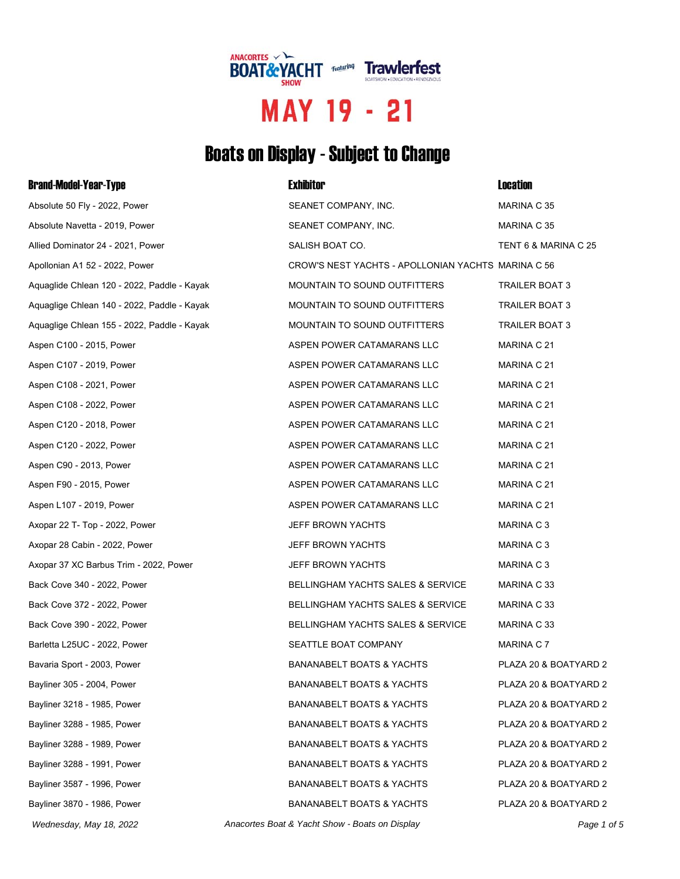

# MAY 19 - 21

## Boats on Display - Subject to Change

| <b>Brand-Model-Year-Type</b>                | <b>Exhibitor</b>                                   | <b>Location</b>       |
|---------------------------------------------|----------------------------------------------------|-----------------------|
| Absolute 50 Fly - 2022, Power               | SEANET COMPANY, INC.                               | MARINA C 35           |
| Absolute Navetta - 2019, Power              | SEANET COMPANY, INC.                               | MARINA C 35           |
| Allied Dominator 24 - 2021, Power           | SALISH BOAT CO.                                    | TENT 6 & MARINA C 25  |
| Apollonian A1 52 - 2022, Power              | CROW'S NEST YACHTS - APOLLONIAN YACHTS MARINA C 56 |                       |
| Aquaglide Chlean 120 - 2022, Paddle - Kayak | MOUNTAIN TO SOUND OUTFITTERS                       | TRAILER BOAT 3        |
| Aquaglige Chlean 140 - 2022, Paddle - Kayak | MOUNTAIN TO SOUND OUTFITTERS                       | TRAILER BOAT 3        |
| Aquaglige Chlean 155 - 2022, Paddle - Kayak | MOUNTAIN TO SOUND OUTFITTERS                       | TRAILER BOAT 3        |
| Aspen C100 - 2015, Power                    | ASPEN POWER CATAMARANS LLC                         | MARINA C 21           |
| Aspen C107 - 2019, Power                    | ASPEN POWER CATAMARANS LLC                         | MARINA C 21           |
| Aspen C108 - 2021, Power                    | ASPEN POWER CATAMARANS LLC                         | MARINA C 21           |
| Aspen C108 - 2022, Power                    | ASPEN POWER CATAMARANS LLC                         | MARINA C 21           |
| Aspen C120 - 2018, Power                    | ASPEN POWER CATAMARANS LLC                         | MARINA C 21           |
| Aspen C120 - 2022, Power                    | ASPEN POWER CATAMARANS LLC                         | MARINA C 21           |
| Aspen C90 - 2013, Power                     | ASPEN POWER CATAMARANS LLC                         | MARINA C 21           |
| Aspen F90 - 2015, Power                     | ASPEN POWER CATAMARANS LLC                         | MARINA C 21           |
| Aspen L107 - 2019, Power                    | ASPEN POWER CATAMARANS LLC                         | MARINA C 21           |
| Axopar 22 T- Top - 2022, Power              | JEFF BROWN YACHTS                                  | MARINA C 3            |
| Axopar 28 Cabin - 2022, Power               | JEFF BROWN YACHTS                                  | MARINA C 3            |
| Axopar 37 XC Barbus Trim - 2022, Power      | JEFF BROWN YACHTS                                  | MARINA C 3            |
| Back Cove 340 - 2022, Power                 | BELLINGHAM YACHTS SALES & SERVICE                  | MARINA C 33           |
| Back Cove 372 - 2022, Power                 | <b>BELLINGHAM YACHTS SALES &amp; SERVICE</b>       | MARINA C 33           |
| Back Cove 390 - 2022, Power                 | BELLINGHAM YACHTS SALES & SERVICE                  | MARINA C 33           |
| Barletta L25UC - 2022, Power                | SEATTLE BOAT COMPANY                               | MARINA C 7            |
| Bavaria Sport - 2003, Power                 | <b>BANANABELT BOATS &amp; YACHTS</b>               | PLAZA 20 & BOATYARD 2 |
| Bayliner 305 - 2004, Power                  | <b>BANANABELT BOATS &amp; YACHTS</b>               | PLAZA 20 & BOATYARD 2 |
| Bayliner 3218 - 1985, Power                 | <b>BANANABELT BOATS &amp; YACHTS</b>               | PLAZA 20 & BOATYARD 2 |
| Bayliner 3288 - 1985, Power                 | <b>BANANABELT BOATS &amp; YACHTS</b>               | PLAZA 20 & BOATYARD 2 |
| Bayliner 3288 - 1989, Power                 | <b>BANANABELT BOATS &amp; YACHTS</b>               | PLAZA 20 & BOATYARD 2 |
| Bayliner 3288 - 1991, Power                 | <b>BANANABELT BOATS &amp; YACHTS</b>               | PLAZA 20 & BOATYARD 2 |
| Bayliner 3587 - 1996, Power                 | <b>BANANABELT BOATS &amp; YACHTS</b>               | PLAZA 20 & BOATYARD 2 |
| Bayliner 3870 - 1986, Power                 | <b>BANANABELT BOATS &amp; YACHTS</b>               | PLAZA 20 & BOATYARD 2 |
| Wednesday, May 18, 2022                     | Anacortes Boat & Yacht Show - Boats on Display     | Page 1 of 5           |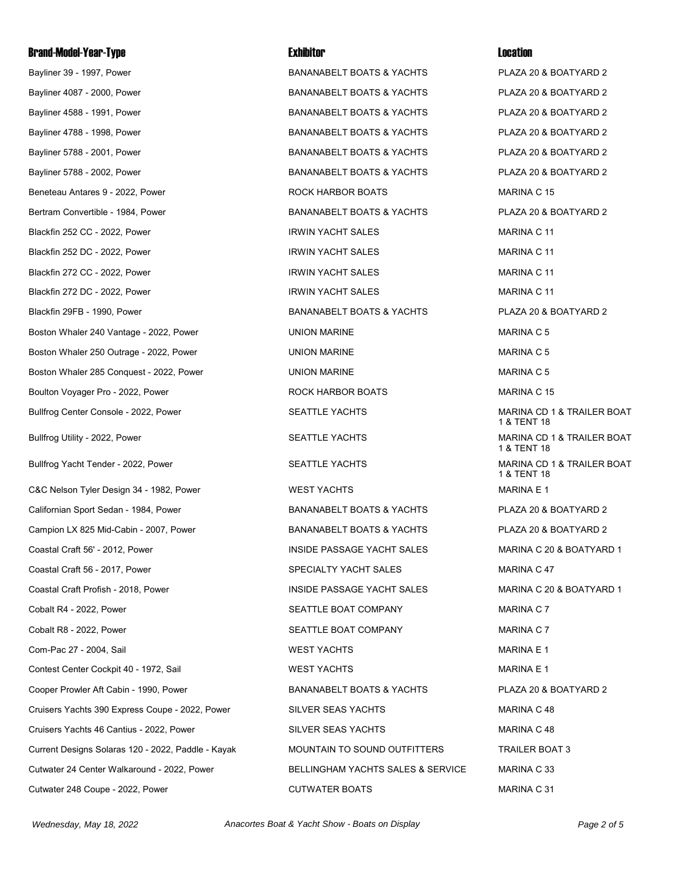Bayliner 39 - 1997, Power Camerace Material Communications & YACHTS And ACHTS PLAZA 20 & BOATYARD 2 Bayliner 4087 - 2000, Power BANANABELT BOATS & YACHTS PLAZA 20 & BOATYARD 2 Bayliner 4588 - 1991, Power BANANABELT BOATS & YACHTS PLAZA 20 & BOATYARD 2 Bayliner 4788 - 1998, Power BANANABELT BOATS & YACHTS PLAZA 20 & BOATYARD 2 Bayliner 5788 - 2001, Power Camerace BANANABELT BOATS & YACHTS COMPLISE RELAZA 20 & BOATYARD 2 Bayliner 5788 - 2002, Power Camerace BANANABELT BOATS & YACHTS PLAZA 20 & BOATYARD 2 Beneteau Antares 9 - 2022. Power **Rock HARBOR BOATS** MARINA C 15 Bertram Convertible - 1984. Power **BERTH CONTING BANANABELT BOATS & YACHTS** PLAZA 20 & BOATYARD 2 Blackfin 252 CC - 2022. Power **IRWIN YACHT SALES** FOR THE MARINA C 11 Blackfin 252 DC - 2022, Power **IRWIN YACHT SALES MARINA C 11** Blackfin 272 CC - 2022. Power **IRWIN YACHT SALES** MARINA C 11 Blackfin 272 DC - 2022, Power **IRWIN YACHT SALES** MARINA C 11 Blackfin 29FB - 1990, Power BANANABELT BOATS & YACHTS PLAZA 20 & BOATYARD 2 Boston Whaler 240 Vantage - 2022, Power **NARING MARING WARING WARING C 5** NARINA C 5 Boston Whaler 250 Outrage - 2022, Power New York COMMARINE National Martin MARINA C 5 Boston Whaler 285 Conquest - 2022, Power New York Control UNION MARINE Name of the MARINA C 5 Boulton Voyager Pro - 2022, Power **Rock HARBOR BOATS MARINA C 15** Bullfrog Center Console - 2022, Power SEATTLE YACHTS SEATTLE YACHTS MARINA CD 1 & TRAILER BOAT Bullfrog Utility - 2022, Power **SEATTLE YACHTS** SEATTLE YACHTS MARINA CD 1 & TRAILER BOAT Bullfrog Yacht Tender - 2022, Power SEATTLE YACHTS MARINA CD 1 & TRAILER BOAT C&C Nelson Tyler Design 34 - 1982, Power WEST YACHTS NARINA E 1 Californian Sport Sedan - 1984, Power BANANABELT BOATS & YACHTS PLAZA 20 & BOATYARD 2 Campion LX 825 Mid-Cabin - 2007, Power **BANANABELT BOATS & YACHTS** PLAZA 20 & BOATYARD 2 Coastal Craft 56' - 2012. Power **INSIDE PASSAGE YACHT SALES** MARINA C 20 & BOATYARD 1 Coastal Craft 56 - 2017, Power Second Crame SPECIALTY YACHT SALES STATES ARRINA C 47 Coastal Craft Profish - 2018, Power INSIDE PASSAGE YACHT SALES MARINA C 20 & BOATYARD 1 Cobalt R4 - 2022. Power COMPANY SEATTLE BOAT COMPANY MARINA C 7 Cobalt R8 - 2022, Power Company SEATTLE BOAT COMPANY SEATTLE BOAT COMPANY MARINA C 7 Com-Pac 27 - 2004, Sail WEST YACHTS MARINA E 1 Contest Center Cockpit 40 - 1972. Sail North Contest Center Cockpit 40 - 1972. Sail WARINA E 1 Cooper Prowler Aft Cabin - 1990, Power **BANANABELT BOATS & YACHTS** PLAZA 20 & BOATYARD 2 Cruisers Yachts 390 Express Coupe - 2022, Power SILVER SEAS YACHTS SEAS YACHTS Cruisers Yachts 46 Cantius - 2022. Power New SILVER SEAS YACHTS New York MARINA C 48 Current Designs Solaras 120 - 2022, Paddle - Kayak MOUNTAIN TO SOUND OUTFITTERS TRAILER BOAT 3 Cutwater 24 Center Walkaround - 2022, Power BELLINGHAM YACHTS SALES & SERVICE MARINA C 33 Cutwater 248 Coupe - 2022, Power CUTWATER BOATS CUTWATER BOATS ASSESSED MARINA C 31

1 & TENT 18 1 & TENT 18 1 & TENT 18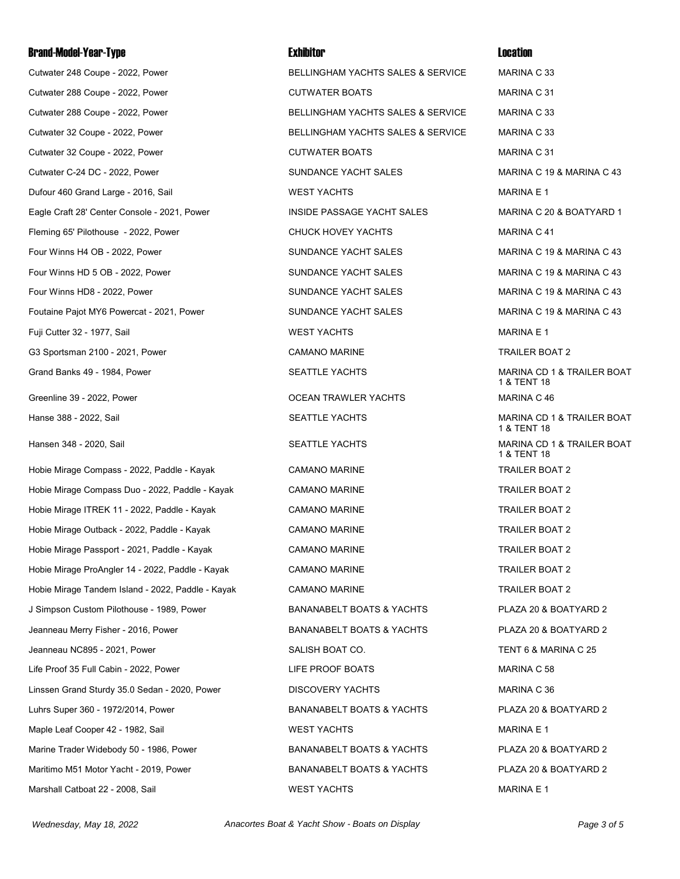Cutwater 248 Coupe - 2022, Power The State BELLINGHAM YACHTS SALES & SERVICE MARINA C 33 Cutwater 288 Coupe - 2022, Power CUTWATER BOATS CUTWATER BOATS ASSESSED MARINA C 31 Cutwater 288 Coupe - 2022, Power BELLINGHAM YACHTS SALES & SERVICE MARINA C 33 Cutwater 32 Coupe - 2022, Power BELLINGHAM YACHTS SALES & SERVICE MARINA C 33 Cutwater 32 Coupe - 2022, Power CUTWATER BOATS CUTWATER BOATS ASSESSED MARINA C 31 Cutwater C-24 DC - 2022, Power SUNDANCE YACHT SALES MARINA C 19 & MARINA C 43 Dufour 460 Grand Large - 2016, Sail **WEST YACHTS** WEST YACHTS MARINA E 1 Eagle Craft 28' Center Console - 2021, Power INSIDE PASSAGE YACHT SALES MARINA C 20 & BOATYARD 1 Fleming 65' Pilothouse - 2022, Power CHUCK HOVEY YACHTS Fleming 65' Pilothouse - 2022, Power Four Winns H4 OB - 2022, Power SUNDANCE YACHT SALES MARINA C 19 & MARINA C 43 Four Winns HD 5 OB - 2022. Power STATE: THE SUNDANCE YACHT SALES THE MARINA C 19 & MARINA C 43 Four Winns HD8 - 2022, Power The SUNDANCE YACHT SALES The SUNDANCE YACHT SALES MARINA C 19 & MARINA C 43 Foutaine Pajot MY6 Powercat - 2021, Power SUNDANCE YACHT SALES MARINA C 19 & MARINA C 43 Fuji Cutter 32 - 1977, Sail **Marina Acceptance Control Control Control Control Control Control Control Control Control Control Control Control Control Control Control Control Control Control Control Control Control Control** G3 Sportsman 2100 - 2021, Power CAMANO MARINE CAMANO MARINE TRAILER BOAT 2 Grand Banks 49 - 1984, Power SEATTLE YACHTS MARINA CD 1 & TRAILER BOAT Greenline 39 - 2022, Power **CEAN TRAWLER YACHTS** MARINA C 46 Hanse 388 - 2022, Sail SEATTLE YACHTS MARINA CD 1 & TRAILER BOAT Hansen 348 - 2020, Sail SEATTLE YACHTS MARINA CD 1 & TRAILER BOAT Hobie Mirage Compass - 2022, Paddle - Kayak CAMANO MARINE TRAILER BOAT 2 Hobie Mirage Compass Duo - 2022, Paddle - Kayak CAMANO MARINE TRAILER BOAT 2 Hobie Mirage ITREK 11 - 2022, Paddle - Kayak CAMANO MARINE TRAILER BOAT 2 Hobie Mirage Outback - 2022, Paddle - Kayak CAMANO MARINE TRAILER BOAT 2 Hobie Mirage Passport - 2021, Paddle - Kayak CAMANO MARINE TRAILER BOAT 2 Hobie Mirage ProAngler 14 - 2022, Paddle - Kayak CAMANO MARINE TRAILER BOAT 2 Hobie Mirage Tandem Island - 2022, Paddle - Kayak CAMANO MARINE TRAILER BOAT 2 J Simpson Custom Pilothouse - 1989, Power **BANANABELT BOATS & YACHTS** PLAZA 20 & BOATYARD 2 Jeanneau Merry Fisher - 2016, Power BANANABELT BOATS & YACHTS PLAZA 20 & BOATYARD 2 Jeanneau NC895 - 2021, Power SALISH BOAT CO. TENT 6 & MARINA C 25 Life Proof 35 Full Cabin - 2022. Power Cabin Communication Communication Communication Communication C 58 Linssen Grand Sturdy 35.0 Sedan - 2020, Power DISCOVERY YACHTS DISCOVERY YACHTS Luhrs Super 360 - 1972/2014, Power BANANABELT BOATS & YACHTS PLAZA 20 & BOATYARD 2 Maple Leaf Cooper 42 - 1982, Sail North Communication of Maple Leaf Cooper 42 - 1982, Sail North Communication Marine Trader Widebody 50 - 1986, Power BANANABELT BOATS & YACHTS PLAZA 20 & BOATYARD 2 Maritimo M51 Motor Yacht - 2019, Power BANANABELT BOATS & YACHTS PLAZA 20 & BOATYARD 2

Marshall Catboat 22 - 2008, Sail North Catholic Music WEST YACHTS National Marshall Catboat 22 - 2008, Sail Na

1 & TENT 18 1 & TENT 18 1 & TENT 18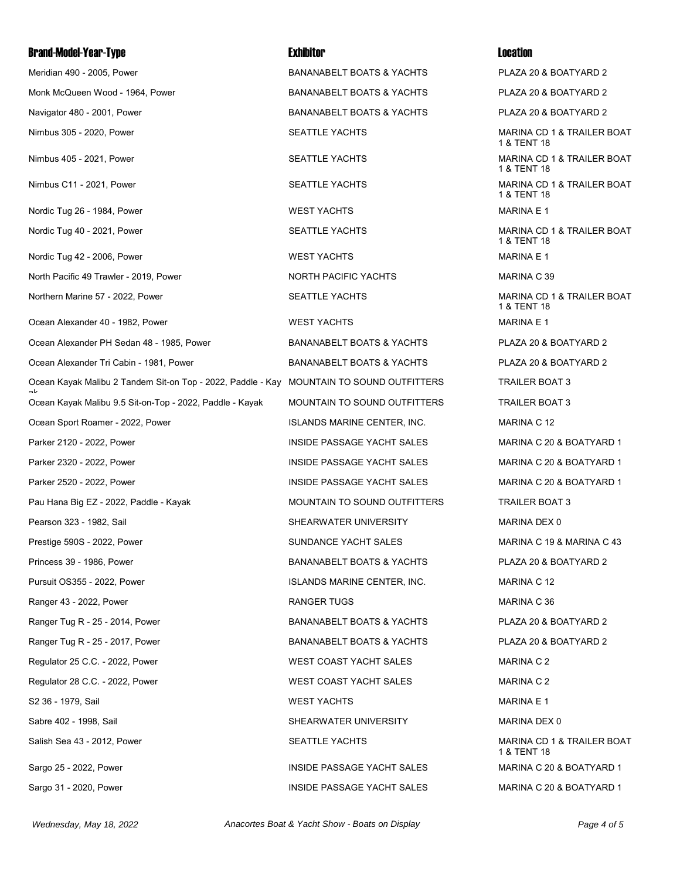Monk McQueen Wood - 1964, Power The Manamage BANANABELT BOATS & YACHTS FRAZA 20 & BOATYARD 2 Navigator 480 - 2001. Power The State of the BANANABELT BOATS & YACHTS PLAZA 20 & BOATYARD 2 Nimbus 305 - 2020, Power SEATTLE YACHTS MARINA CD 1 & TRAILER BOAT Nimbus 405 - 2021, Power SEATTLE YACHTS MARINA CD 1 & TRAILER BOAT Nimbus C11 - 2021, Power The Seath Control of SEATTLE YACHTS And MARINA CD 1 & TRAILER BOAT Nordic Tug 26 - 1984, Power North Communication of the UNEST YACHTS MARINA WEST YACHTS MARINA E 1 Nordic Tug 40 - 2021, Power The SEATTLE YACHTS SEATTLE YACHTS MARINA CD 1 & TRAILER BOAT Nordic Tug 42 - 2006, Power North Communication of the UNEST YACHTS MARINA WEST YACHTS MARINA E 1 North Pacific 49 Trawler - 2019. Power North PACIFIC YACHTS NORTH PACIFIC YACHTS MARINA C 39 Northern Marine 57 - 2022. Power Northern SEATTLE YACHTS Northern Marina CD 1 & TRAILER BOAT Ocean Alexander 40 - 1982. Power Note and Marina Museum WEST YACHTS Network and Marina E 1 Ocean Alexander PH Sedan 48 - 1985, Power BANANABELT BOATS & YACHTS PLAZA 20 & BOATYARD 2 Ocean Alexander Tri Cabin - 1981, Power **BANANABELT BOATS & YACHTS** PLAZA 20 & BOATYARD 2 Ocean Kayak Malibu 2 Tandem Sit-on Top - 2022, Paddle - Kay ak Ocean Kayak Malibu 9.5 Sit-on-Top - 2022, Paddle - Kayak MOUNTAIN TO SOUND OUTFITTERS TRAILER BOAT 3 Ocean Sport Roamer - 2022, Power **ISLANDS MARINE CENTER, INC.** MARINA C 12 Parker 2120 - 2022, Power INSIDE PASSAGE YACHT SALES MARINA C 20 & BOATYARD 1 Parker 2320 - 2022, Power INSIDE PASSAGE YACHT SALES MARINA C 20 & BOATYARD 1 Parker 2520 - 2022, Power INSIDE PASSAGE YACHT SALES MARINA C 20 & BOATYARD 1 Pau Hana Big EZ - 2022, Paddle - Kayak MOUNTAIN TO SOUND OUTFITTERS TRAILER BOAT 3 Pearson 323 - 1982. Sail Shear Shearwatter University Marina DEX 0 Prestige 590S - 2022, Power The SUNDANCE YACHT SALES MARINA C 19 & MARINA C 43 Princess 39 - 1986, Power BANANABELT BOATS & YACHTS PLAZA 20 & BOATYARD 2 Pursuit OS355 - 2022, Power **ISLANDS MARINE CENTER, INC.** MARINA C 12 Ranger 43 - 2022, Power **RANGER TUGS** RANGER TUGS **MARINA C 36** Ranger Tug R - 25 - 2014, Power Case Communication Communication BANANABELT BOATS & YACHTS PLAZA 20 & BOATYARD 2 Ranger Tug R - 25 - 2017, Power The State of the State BANANABELT BOATS & YACHTS PLAZA 20 & BOATYARD 2 Regulator 25 C.C. - 2022, Power Network Contract COAST YACHT SALES MARINA C 2 Regulator 28 C.C. - 2022, Power Network Contract COAST YACHT SALES MARINA C 2 S2 36 - 1979, Sail WEST YACHTS MARINA E 1 Sabre 402 - 1998, Sail Sabre 1998, Sail SHEARWATER UNIVERSITY SHEARWATER UNIVERSITY Salish Sea 43 - 2012, Power SEATTLE YACHTS MARINA CD 1 & TRAILER BOAT Sargo 25 - 2022, Power INSIDE PASSAGE YACHT SALES MARINA C 20 & BOATYARD 1 Sargo 31 - 2020, Power **INSIDE PASSAGE YACHT SALES** MARINA C 20 & BOATYARD 1

Meridian 490 - 2005, Power The State of the State BANANABELT BOATS & YACHTS PLAZA 20 & BOATYARD 2 MOUNTAIN TO SOUND OUTFITTERS TRAILER BOAT 3

1 & TENT 18 1 & TENT 18 1 & TENT 18 1 & TENT 18 1 & TENT 18 1 & TENT 18